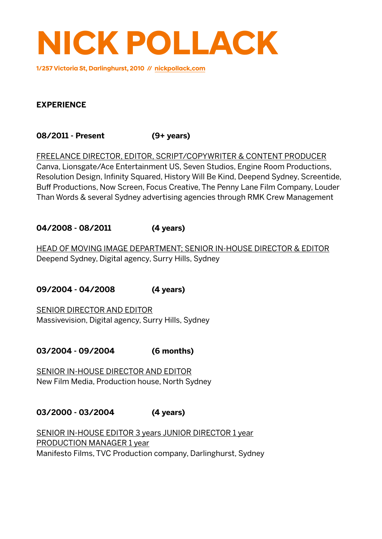

**1/257 Victoria St, Darlinghurst, 2010 // [nickpollack.com](http://nickpollack.com)**

#### **EXPERIENCE**

**08/2011 - Present (9+ years)**

FREELANCE DIRECTOR, EDITOR, SCRIPT/COPYWRITER & CONTENT PRODUCER Canva, Lionsgate/Ace Entertainment US, Seven Studios, Engine Room Productions, Resolution Design, Infinity Squared, History Will Be Kind, Deepend Sydney, Screentide, Buff Productions, Now Screen, Focus Creative, The Penny Lane Film Company, Louder Than Words & several Sydney advertising agencies through RMK Crew Management

#### **04/2008 - 08/2011 (4 years)**

HEAD OF MOVING IMAGE DEPARTMENT; SENIOR IN-HOUSE DIRECTOR & EDITOR Deepend Sydney, Digital agency, Surry Hills, Sydney

**09/2004 - 04/2008 (4 years)**

SENIOR DIRECTOR AND EDITOR Massivevision, Digital agency, Surry Hills, Sydney

**03/2004 - 09/2004 (6 months)**

SENIOR IN-HOUSE DIRECTOR AND EDITOR New Film Media, Production house, North Sydney

**03/2000 - 03/2004 (4 years)**

SENIOR IN-HOUSE EDITOR 3 years JUNIOR DIRECTOR 1 year PRODUCTION MANAGER 1 year Manifesto Films, TVC Production company, Darlinghurst, Sydney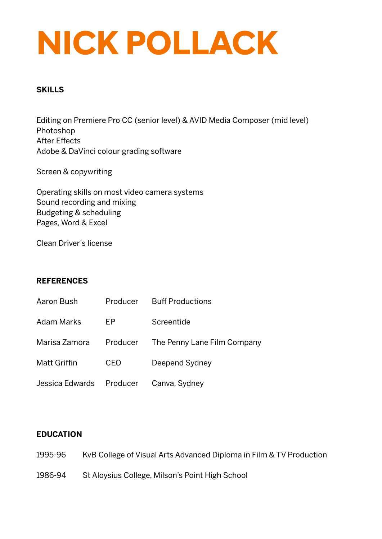## **NICK POLLACK**

#### **SKILLS**

Editing on Premiere Pro CC (senior level) & AVID Media Composer (mid level) Photoshop After Effects Adobe & DaVinci colour grading software

Screen & copywriting

Operating skills on most video camera systems Sound recording and mixing Budgeting & scheduling Pages, Word & Excel

Clean Driver's license

#### **REFERENCES**

| Aaron Bush               |          | Producer Buff Productions   |
|--------------------------|----------|-----------------------------|
| <b>Adam Marks</b>        | EP.      | Screentide                  |
| Marisa Zamora            | Producer | The Penny Lane Film Company |
| <b>Matt Griffin</b>      | CEO.     | Deepend Sydney              |
| Jessica Edwards Producer |          | Canva, Sydney               |

#### **EDUCATION**

- 1995-96 KvB College of Visual Arts Advanced Diploma in Film & TV Production
- 1986-94 St Aloysius College, Milson's Point High School